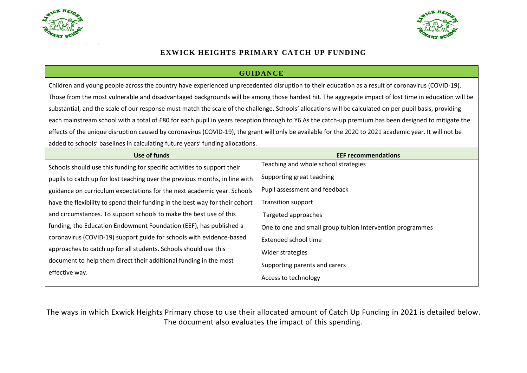



## **EXWICK HEIGHTS PRIMARY CATCH UP FUNDING** Headteacher: **Mrs C. Neal B.Ed.** Headteacher: **Mrs C. Neal B.Ed.**

## **GUIDANCE**

Children and young people across the country have experienced unprecedented disruption to their education as a result of coronavirus (COVID-19). Those from the most vulnerable and disadvantaged backgrounds will be among those hardest hit. The aggregate impact of lost time in education will be substantial, and the scale of our response must match the scale of the challenge. Schools' allocations will be calculated on per pupil basis, providing each mainstream school with a total of £80 for each pupil in years reception through to Y6 As the catch-up premium has been designed to mitigate the effects of the unique disruption caused by coronavirus (COVID-19), the grant will only be available for the 2020 to 2021 academic year. It will not be added to schools' baselines in calculating future years' funding allocations.

| Use of funds                                                                 | <b>EEF recommendations</b>                                 |
|------------------------------------------------------------------------------|------------------------------------------------------------|
| Schools should use this funding for specific activities to support their     | Teaching and whole school strategies                       |
| pupils to catch up for lost teaching over the previous months, in line with  | Supporting great teaching                                  |
| guidance on curriculum expectations for the next academic year. Schools      | Pupil assessment and feedback                              |
| have the flexibility to spend their funding in the best way for their cohort | <b>Transition support</b>                                  |
| and circumstances. To support schools to make the best use of this           | Targeted approaches                                        |
| funding, the Education Endowment Foundation (EEF), has published a           | One to one and small group tuition Intervention programmes |
| coronavirus (COVID-19) support guide for schools with evidence-based         | Extended school time                                       |
| approaches to catch up for all students. Schools should use this             | Wider strategies                                           |
| document to help them direct their additional funding in the most            | Supporting parents and carers                              |
| effective way.                                                               | Access to technology                                       |

The ways in which Exwick Heights Primary chose to use their allocated amount of Catch Up Funding in 2021 is detailed below. The document also evaluates the impact of this spending.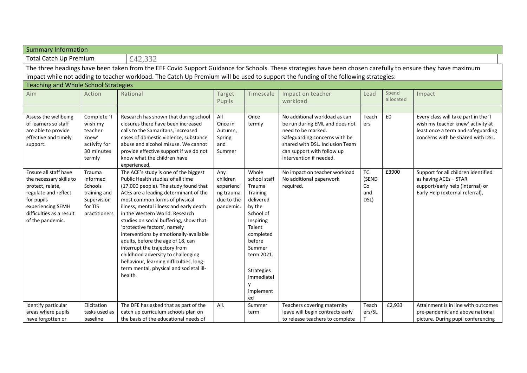| <b>Summary Information</b>                                                                                                                                                                                                                                                                        |                                                                                          |                                                                                                                                                                                                                                                                                                                                                                                                                                                                                                                                                                                                             |                                                                       |                                                                                                                                                                                                                  |                                                                                                                                                                                                                    |                                         |                    |                                                                                                                                                      |
|---------------------------------------------------------------------------------------------------------------------------------------------------------------------------------------------------------------------------------------------------------------------------------------------------|------------------------------------------------------------------------------------------|-------------------------------------------------------------------------------------------------------------------------------------------------------------------------------------------------------------------------------------------------------------------------------------------------------------------------------------------------------------------------------------------------------------------------------------------------------------------------------------------------------------------------------------------------------------------------------------------------------------|-----------------------------------------------------------------------|------------------------------------------------------------------------------------------------------------------------------------------------------------------------------------------------------------------|--------------------------------------------------------------------------------------------------------------------------------------------------------------------------------------------------------------------|-----------------------------------------|--------------------|------------------------------------------------------------------------------------------------------------------------------------------------------|
| <b>Total Catch Up Premium</b><br>£42,332                                                                                                                                                                                                                                                          |                                                                                          |                                                                                                                                                                                                                                                                                                                                                                                                                                                                                                                                                                                                             |                                                                       |                                                                                                                                                                                                                  |                                                                                                                                                                                                                    |                                         |                    |                                                                                                                                                      |
| The three headings have been taken from the EEF Covid Support Guidance for Schools. These strategies have been chosen carefully to ensure they have maximum<br>impact while not adding to teacher workload. The Catch Up Premium will be used to support the funding of the following strategies: |                                                                                          |                                                                                                                                                                                                                                                                                                                                                                                                                                                                                                                                                                                                             |                                                                       |                                                                                                                                                                                                                  |                                                                                                                                                                                                                    |                                         |                    |                                                                                                                                                      |
| <b>Teaching and Whole School Strategies</b>                                                                                                                                                                                                                                                       |                                                                                          |                                                                                                                                                                                                                                                                                                                                                                                                                                                                                                                                                                                                             |                                                                       |                                                                                                                                                                                                                  |                                                                                                                                                                                                                    |                                         |                    |                                                                                                                                                      |
| Aim                                                                                                                                                                                                                                                                                               | Action                                                                                   | Rational                                                                                                                                                                                                                                                                                                                                                                                                                                                                                                                                                                                                    | Target<br>Pupils                                                      | Timescale                                                                                                                                                                                                        | Impact on teacher<br>workload                                                                                                                                                                                      | Lead                                    | Spend<br>allocated | Impact                                                                                                                                               |
| Assess the wellbeing<br>of learners so staff<br>are able to provide<br>effective and timely<br>support.                                                                                                                                                                                           | Complete 'I<br>wish my<br>teacher<br>knew'<br>activity for<br>30 minutes<br>termly       | Research has shown that during school<br>closures there have been increased<br>calls to the Samaritans, increased<br>cases of domestic violence, substance<br>abuse and alcohol misuse. We cannot<br>provide effective support if we do not<br>know what the children have<br>experienced.                                                                                                                                                                                                                                                                                                                  | All<br>Once in<br>Autumn,<br>Spring<br>and<br>Summer                  | Once<br>termly                                                                                                                                                                                                   | No additional workload as can<br>be run during EML and does not<br>need to be marked.<br>Safeguarding concerns with be<br>shared with DSL. Inclusion Team<br>can support with follow up<br>intervention if needed. | Teach<br>ers                            | £0                 | Every class will take part in the 'I<br>wish my teacher knew' activity at<br>least once a term and safeguarding<br>concerns with be shared with DSL. |
| Ensure all staff have<br>the necessary skills to<br>protect, relate,<br>regulate and reflect<br>for pupils<br>experiencing SEMH<br>difficulties as a result<br>of the pandemic.                                                                                                                   | Trauma<br>Informed<br>Schools<br>training and<br>Supervision<br>for TIS<br>practitioners | The ACE's study is one of the biggest<br>Public Health studies of all time<br>(17,000 people). The study found that<br>ACEs are a leading determinant of the<br>most common forms of physical<br>illness, mental illness and early death<br>in the Western World. Research<br>studies on social buffering, show that<br>'protective factors', namely<br>interventions by emotionally-available<br>adults, before the age of 18, can<br>interrupt the trajectory from<br>childhood adversity to challenging<br>behaviour, learning difficulties, long-<br>term mental, physical and societal ill-<br>health. | Any<br>children<br>experienci<br>ng trauma<br>due to the<br>pandemic. | Whole<br>school staff<br>Trauma<br>Training<br>delivered<br>by the<br>School of<br>Inspiring<br>Talent<br>completed<br>before<br>Summer<br>term 2021.<br><b>Strategies</b><br>immediatel<br>۷<br>implement<br>ed | No impact on teacher workload<br>No additional paperwork<br>required.                                                                                                                                              | <b>TC</b><br>(SEND<br>Co<br>and<br>DSL) | £3900              | Support for all children identified<br>as having ACEs - STAR<br>support/early help (internal) or<br>Early Help (external referral),                  |
| Identify particular<br>areas where pupils<br>have forgotten or                                                                                                                                                                                                                                    | Elicitation<br>tasks used as<br>baseline                                                 | The DFE has asked that as part of the<br>catch up curriculum schools plan on<br>the basis of the educational needs of                                                                                                                                                                                                                                                                                                                                                                                                                                                                                       | All.                                                                  | Summer<br>term                                                                                                                                                                                                   | Teachers covering maternity<br>leave will begin contracts early<br>to release teachers to complete                                                                                                                 | Teach<br>ers/SL<br>Т                    | £2,933             | Attainment is in line with outcomes<br>pre-pandemic and above national<br>picture. During pupil conferencing                                         |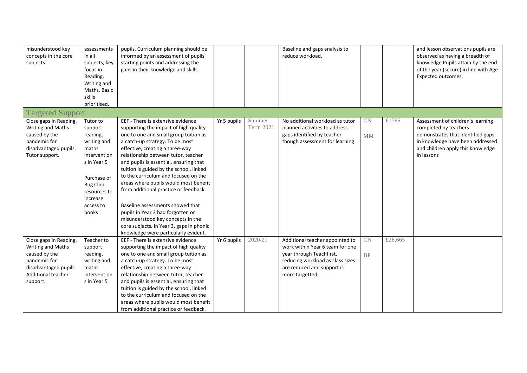| misunderstood key<br>concepts in the core<br>subjects.                                                                                  | assessments<br>in all<br>subjects, key<br>focus in<br>Reading,<br>Writing and<br>Maths. Basic<br>skills<br>prioritised.                                                    | pupils. Curriculum planning should be<br>informed by an assessment of pupils'<br>starting points and addressing the<br>gaps in their knowledge and skills.                                                                                                                                                                                                                                                                                                                                                                                                                                                                                        |             |                     | Baseline and gaps analysis to<br>reduce workload.                                                                                                                                   |          |         | and lesson observations pupils are<br>observed as having a breadth of<br>knowledge Pupils attain by the end<br>of the year (secure) in line with Age<br>Expected outcomes.             |
|-----------------------------------------------------------------------------------------------------------------------------------------|----------------------------------------------------------------------------------------------------------------------------------------------------------------------------|---------------------------------------------------------------------------------------------------------------------------------------------------------------------------------------------------------------------------------------------------------------------------------------------------------------------------------------------------------------------------------------------------------------------------------------------------------------------------------------------------------------------------------------------------------------------------------------------------------------------------------------------------|-------------|---------------------|-------------------------------------------------------------------------------------------------------------------------------------------------------------------------------------|----------|---------|----------------------------------------------------------------------------------------------------------------------------------------------------------------------------------------|
| <b>Targeted Support</b>                                                                                                                 |                                                                                                                                                                            |                                                                                                                                                                                                                                                                                                                                                                                                                                                                                                                                                                                                                                                   |             |                     |                                                                                                                                                                                     |          |         |                                                                                                                                                                                        |
| Close gaps in Reading,<br>Writing and Maths<br>caused by the<br>pandemic for<br>disadvantaged pupils.<br>Tutor support.                 | Tutor to<br>support<br>reading,<br>writing and<br>maths<br>intervention<br>s in Year 5<br>Purchase of<br><b>Bug Club</b><br>resources to<br>increase<br>access to<br>books | EEF - There is extensive evidence<br>supporting the impact of high quality<br>one to one and small group tuition as<br>a catch-up strategy. To be most<br>effective, creating a three-way<br>relationship between tutor, teacher<br>and pupils is essential, ensuring that<br>tuition is guided by the school, linked<br>to the curriculum and focused on the<br>areas where pupils would most benefit<br>from additional practice or feedback.<br>Baseline assessments showed that<br>pupils in Year 3 had forgotten or<br>misunderstood key concepts in the<br>core subjects. In Year 3, gaps in phonic<br>knowledge were particularly evident. | Yr 5 pupils | Summer<br>Term 2021 | No additional workload as tutor<br>planned activities to address<br>gaps identified by teacher<br>though assessment for learning                                                    | CN<br>MM | £1765   | Assessment of children's learning<br>completed by teachers<br>demonstrates that identified gaps<br>in knowledge have been addressed<br>and children apply this knowledge<br>in lessons |
| Close gaps in Reading,<br>Writing and Maths<br>caused by the<br>pandemic for<br>disadvantaged pupils.<br>Additional teacher<br>support. | Teacher to<br>support<br>reading,<br>writing and<br>maths<br>intervention<br>s in Year 5                                                                                   | EEF - There is extensive evidence<br>supporting the impact of high quality<br>one to one and small group tuition as<br>a catch-up strategy. To be most<br>effective, creating a three-way<br>relationship between tutor, teacher<br>and pupils is essential, ensuring that<br>tuition is guided by the school, linked<br>to the curriculum and focused on the<br>areas where pupils would most benefit<br>from additional practice or feedback.                                                                                                                                                                                                   | Yr 6 pupils | 2020/21             | Additional teacher appointed to<br>work within Year 6 team for one<br>year through Teachfirst,<br>reducing workload as class sizes<br>are reduced and support is<br>more targetted. | CN<br>BP | £26,665 |                                                                                                                                                                                        |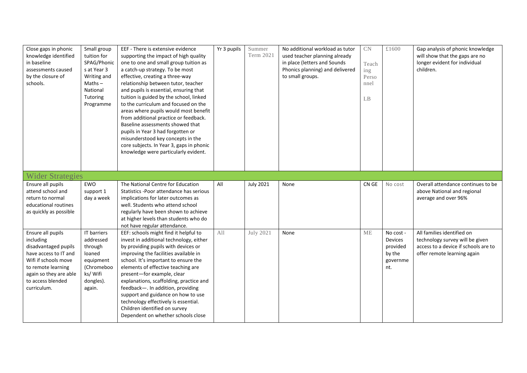| Close gaps in phonic<br>knowledge identified<br>in baseline<br>assessments caused<br>by the closure of<br>schools.                                                                          | Small group<br>tuition for<br>SPAG/Phonic<br>s at Year 3<br>Writing and<br>$Maths -$<br>National<br>Tutoring<br>Programme | EEF - There is extensive evidence<br>supporting the impact of high quality<br>one to one and small group tuition as<br>a catch-up strategy. To be most<br>effective, creating a three-way<br>relationship between tutor, teacher<br>and pupils is essential, ensuring that<br>tuition is guided by the school, linked<br>to the curriculum and focused on the<br>areas where pupils would most benefit<br>from additional practice or feedback.<br>Baseline assessments showed that<br>pupils in Year 3 had forgotten or<br>misunderstood key concepts in the<br>core subjects. In Year 3, gaps in phonic<br>knowledge were particularly evident. | Yr 3 pupils | Summer<br>Term 2021 | No additional workload as tutor<br>used teacher planning already<br>in place (letters and Sounds<br>Phonics planning) and delivered<br>to small groups. | CN<br>Teach<br>ing<br>Perso<br>nnel<br>LB | £1600                                                                | Gap analysis of phonic knowledge<br>will show that the gaps are no<br>longer evident for individual<br>children.                     |
|---------------------------------------------------------------------------------------------------------------------------------------------------------------------------------------------|---------------------------------------------------------------------------------------------------------------------------|---------------------------------------------------------------------------------------------------------------------------------------------------------------------------------------------------------------------------------------------------------------------------------------------------------------------------------------------------------------------------------------------------------------------------------------------------------------------------------------------------------------------------------------------------------------------------------------------------------------------------------------------------|-------------|---------------------|---------------------------------------------------------------------------------------------------------------------------------------------------------|-------------------------------------------|----------------------------------------------------------------------|--------------------------------------------------------------------------------------------------------------------------------------|
| <b>Wider Strategies</b>                                                                                                                                                                     |                                                                                                                           |                                                                                                                                                                                                                                                                                                                                                                                                                                                                                                                                                                                                                                                   |             |                     |                                                                                                                                                         |                                           |                                                                      |                                                                                                                                      |
| Ensure all pupils<br>attend school and<br>return to normal<br>educational routines<br>as quickly as possible                                                                                | EWO<br>support 1<br>day a week                                                                                            | The National Centre for Education<br>Statistics - Poor attendance has serious<br>implications for later outcomes as<br>well. Students who attend school<br>regularly have been shown to achieve<br>at higher levels than students who do<br>not have regular attendance.                                                                                                                                                                                                                                                                                                                                                                          | All         | <b>July 2021</b>    | None                                                                                                                                                    | CN GE                                     | No cost                                                              | Overall attendance continues to be<br>above National and regional<br>average and over 96%                                            |
| Ensure all pupils<br>including<br>disadvantaged pupils<br>have access to IT and<br>Wifi if schools move<br>to remote learning<br>again so they are able<br>to access blended<br>curriculum. | IT barriers<br>addressed<br>through<br>loaned<br>equipment<br>(Chromeboo<br>ks/ Wifi<br>dongles).<br>again.               | EEF: schools might find it helpful to<br>invest in additional technology, either<br>by providing pupils with devices or<br>improving the facilities available in<br>school. It's important to ensure the<br>elements of effective teaching are<br>present-for example, clear<br>explanations, scaffolding, practice and<br>feedback-. In addition, providing<br>support and guidance on how to use<br>technology effectively is essential.<br>Children identified on survey<br>Dependent on whether schools close                                                                                                                                 | All         | <b>July 2021</b>    | None                                                                                                                                                    | <b>ME</b>                                 | No cost -<br><b>Devices</b><br>provided<br>by the<br>governme<br>nt. | All families identified on<br>technology survey will be given<br>access to a device if schools are to<br>offer remote learning again |